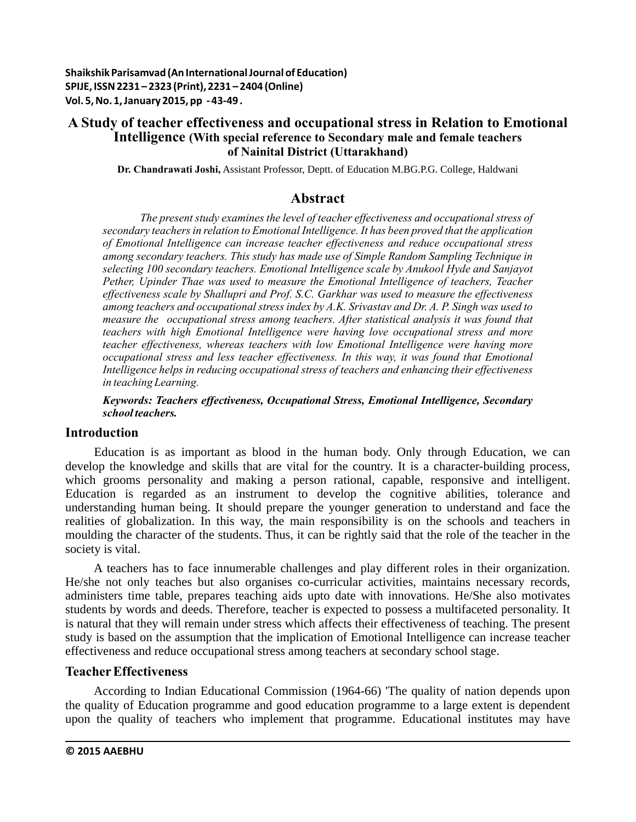**Shaikshik Parisamvad (An International Journal of Education) SPIJE, ISSN 2231 – 2323 (Print), 2231 – 2404 (Online) Vol. 5, No. 1, January 2015, pp - 43-49 .**

## **A Study of teacher effectiveness and occupational stress in Relation to Emotional Intelligence (With special reference to Secondary male and female teachers of Nainital District (Uttarakhand)**

**Dr. Chandrawati Joshi,** Assistant Professor, Deptt. of Education M.BG.P.G. College, Haldwani

# **Abstract**

*The present study examines the level of teacher effectiveness and occupational stress of secondary teachers in relation to Emotional Intelligence. It has been proved that the application of Emotional Intelligence can increase teacher effectiveness and reduce occupational stress among secondary teachers. This study has made use of Simple Random Sampling Technique in selecting 100 secondary teachers. Emotional Intelligence scale by Anukool Hyde and Sanjayot Pether, Upinder Thae was used to measure the Emotional Intelligence of teachers, Teacher effectiveness scale by Shallupri and Prof. S.C. Garkhar was used to measure the effectiveness among teachers and occupational stress index by A.K. Srivastav and Dr. A. P. Singh was used to measure the occupational stress among teachers. After statistical analysis it was found that teachers with high Emotional Intelligence were having love occupational stress and more teacher effectiveness, whereas teachers with low Emotional Intelligence were having more occupational stress and less teacher effectiveness. In this way, it was found that Emotional Intelligence helps in reducing occupational stress of teachers and enhancing their effectiveness in teaching Learning.*

## *Keywords: Teachers effectiveness, Occupational Stress, Emotional Intelligence, Secondary school teachers.*

## **Introduction**

Education is as important as blood in the human body. Only through Education, we can develop the knowledge and skills that are vital for the country. It is a character-building process, which grooms personality and making a person rational, capable, responsive and intelligent. Education is regarded as an instrument to develop the cognitive abilities, tolerance and understanding human being. It should prepare the younger generation to understand and face the realities of globalization. In this way, the main responsibility is on the schools and teachers in moulding the character of the students. Thus, it can be rightly said that the role of the teacher in the society is vital.

A teachers has to face innumerable challenges and play different roles in their organization. He/she not only teaches but also organises co-curricular activities, maintains necessary records, administers time table, prepares teaching aids upto date with innovations. He/She also motivates students by words and deeds. Therefore, teacher is expected to possess a multifaceted personality. It is natural that they will remain under stress which affects their effectiveness of teaching. The present study is based on the assumption that the implication of Emotional Intelligence can increase teacher effectiveness and reduce occupational stress among teachers at secondary school stage.

## **Teacher Effectiveness**

According to Indian Educational Commission (1964-66) 'The quality of nation depends upon the quality of Education programme and good education programme to a large extent is dependent upon the quality of teachers who implement that programme. Educational institutes may have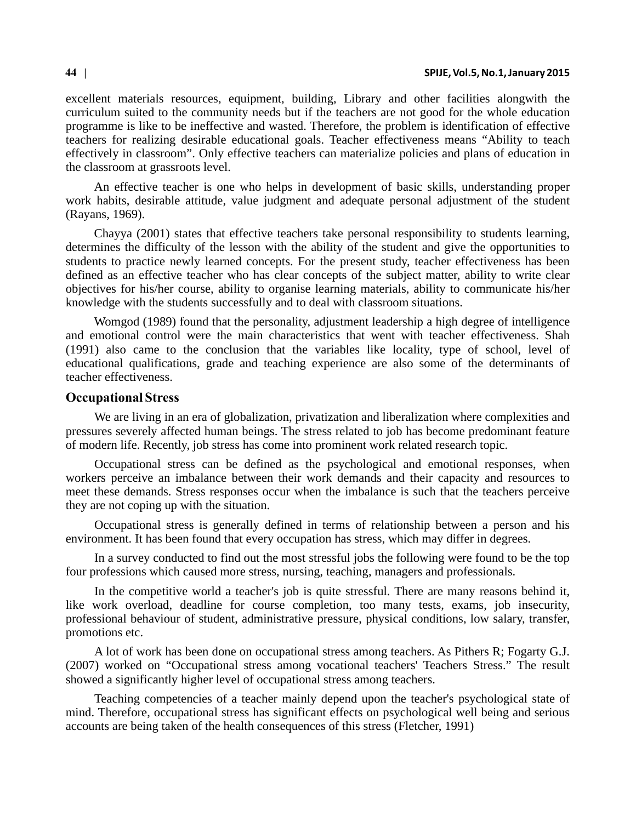#### **44 | SPIJE, Vol.5, No.1, January 2015**

excellent materials resources, equipment, building, Library and other facilities alongwith the curriculum suited to the community needs but if the teachers are not good for the whole education programme is like to be ineffective and wasted. Therefore, the problem is identification of effective teachers for realizing desirable educational goals. Teacher effectiveness means "Ability to teach effectively in classroom". Only effective teachers can materialize policies and plans of education in the classroom at grassroots level.

An effective teacher is one who helps in development of basic skills, understanding proper work habits, desirable attitude, value judgment and adequate personal adjustment of the student (Rayans, 1969).

Chayya (2001) states that effective teachers take personal responsibility to students learning, determines the difficulty of the lesson with the ability of the student and give the opportunities to students to practice newly learned concepts. For the present study, teacher effectiveness has been defined as an effective teacher who has clear concepts of the subject matter, ability to write clear objectives for his/her course, ability to organise learning materials, ability to communicate his/her knowledge with the students successfully and to deal with classroom situations.

Womgod (1989) found that the personality, adjustment leadership a high degree of intelligence and emotional control were the main characteristics that went with teacher effectiveness. Shah (1991) also came to the conclusion that the variables like locality, type of school, level of educational qualifications, grade and teaching experience are also some of the determinants of teacher effectiveness.

#### **Occupational Stress**

We are living in an era of globalization, privatization and liberalization where complexities and pressures severely affected human beings. The stress related to job has become predominant feature of modern life. Recently, job stress has come into prominent work related research topic.

Occupational stress can be defined as the psychological and emotional responses, when workers perceive an imbalance between their work demands and their capacity and resources to meet these demands. Stress responses occur when the imbalance is such that the teachers perceive they are not coping up with the situation.

Occupational stress is generally defined in terms of relationship between a person and his environment. It has been found that every occupation has stress, which may differ in degrees.

In a survey conducted to find out the most stressful jobs the following were found to be the top four professions which caused more stress, nursing, teaching, managers and professionals.

In the competitive world a teacher's job is quite stressful. There are many reasons behind it, like work overload, deadline for course completion, too many tests, exams, job insecurity, professional behaviour of student, administrative pressure, physical conditions, low salary, transfer, promotions etc.

A lot of work has been done on occupational stress among teachers. As Pithers R; Fogarty G.J. (2007) worked on "Occupational stress among vocational teachers' Teachers Stress." The result showed a significantly higher level of occupational stress among teachers.

Teaching competencies of a teacher mainly depend upon the teacher's psychological state of mind. Therefore, occupational stress has significant effects on psychological well being and serious accounts are being taken of the health consequences of this stress (Fletcher, 1991)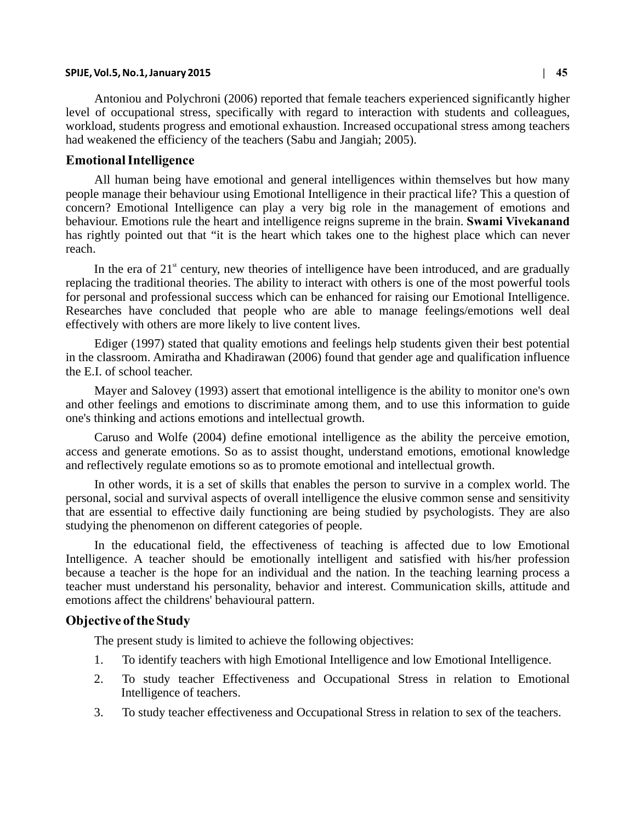#### **SPIJE, Vol.5, No.1, January 2015 | 45**

Antoniou and Polychroni (2006) reported that female teachers experienced significantly higher level of occupational stress, specifically with regard to interaction with students and colleagues, workload, students progress and emotional exhaustion. Increased occupational stress among teachers had weakened the efficiency of the teachers (Sabu and Jangiah; 2005).

### **Emotional Intelligence**

All human being have emotional and general intelligences within themselves but how many people manage their behaviour using Emotional Intelligence in their practical life? This a question of concern? Emotional Intelligence can play a very big role in the management of emotions and behaviour. Emotions rule the heart and intelligence reigns supreme in the brain. **Swami Vivekanand**  has rightly pointed out that "it is the heart which takes one to the highest place which can never reach.

In the era of  $21<sup>st</sup>$  century, new theories of intelligence have been introduced, and are gradually replacing the traditional theories. The ability to interact with others is one of the most powerful tools for personal and professional success which can be enhanced for raising our Emotional Intelligence. Researches have concluded that people who are able to manage feelings/emotions well deal effectively with others are more likely to live content lives.

Ediger (1997) stated that quality emotions and feelings help students given their best potential in the classroom. Amiratha and Khadirawan (2006) found that gender age and qualification influence the E.I. of school teacher.

Mayer and Salovey (1993) assert that emotional intelligence is the ability to monitor one's own and other feelings and emotions to discriminate among them, and to use this information to guide one's thinking and actions emotions and intellectual growth.

Caruso and Wolfe (2004) define emotional intelligence as the ability the perceive emotion, access and generate emotions. So as to assist thought, understand emotions, emotional knowledge and reflectively regulate emotions so as to promote emotional and intellectual growth.

In other words, it is a set of skills that enables the person to survive in a complex world. The personal, social and survival aspects of overall intelligence the elusive common sense and sensitivity that are essential to effective daily functioning are being studied by psychologists. They are also studying the phenomenon on different categories of people.

In the educational field, the effectiveness of teaching is affected due to low Emotional Intelligence. A teacher should be emotionally intelligent and satisfied with his/her profession because a teacher is the hope for an individual and the nation. In the teaching learning process a teacher must understand his personality, behavior and interest. Communication skills, attitude and emotions affect the childrens' behavioural pattern.

## **Objective of the Study**

The present study is limited to achieve the following objectives:

- 1. To identify teachers with high Emotional Intelligence and low Emotional Intelligence.
- 2. To study teacher Effectiveness and Occupational Stress in relation to Emotional Intelligence of teachers.
- 3. To study teacher effectiveness and Occupational Stress in relation to sex of the teachers.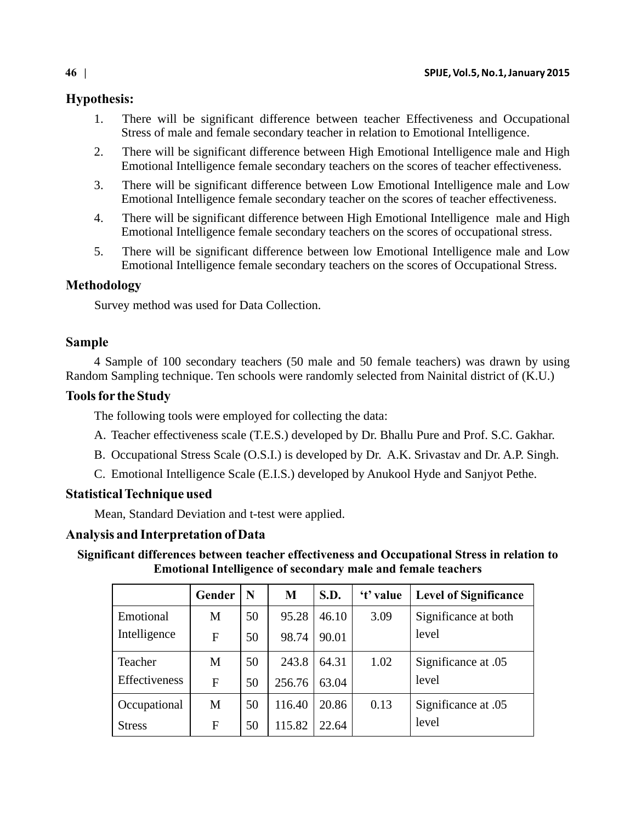# **Hypothesis:**

- 1. There will be significant difference between teacher Effectiveness and Occupational Stress of male and female secondary teacher in relation to Emotional Intelligence.
- 2. There will be significant difference between High Emotional Intelligence male and High Emotional Intelligence female secondary teachers on the scores of teacher effectiveness.
- 3. There will be significant difference between Low Emotional Intelligence male and Low Emotional Intelligence female secondary teacher on the scores of teacher effectiveness.
- 4. There will be significant difference between High Emotional Intelligence male and High Emotional Intelligence female secondary teachers on the scores of occupational stress.
- 5. There will be significant difference between low Emotional Intelligence male and Low Emotional Intelligence female secondary teachers on the scores of Occupational Stress.

# **Methodology**

Survey method was used for Data Collection.

# **Sample**

4 Sample of 100 secondary teachers (50 male and 50 female teachers) was drawn by using Random Sampling technique. Ten schools were randomly selected from Nainital district of (K.U.)

# **Tools for the Study**

The following tools were employed for collecting the data:

- A. Teacher effectiveness scale (T.E.S.) developed by Dr. Bhallu Pure and Prof. S.C. Gakhar.
- B. Occupational Stress Scale (O.S.I.) is developed by Dr. A.K. Srivastav and Dr. A.P. Singh.
- C. Emotional Intelligence Scale (E.I.S.) developed by Anukool Hyde and Sanjyot Pethe.

# **Statistical Technique used**

Mean, Standard Deviation and t-test were applied.

# **Analysis and Interpretation of Data**

**Significant differences between teacher effectiveness and Occupational Stress in relation to Emotional Intelligence of secondary male and female teachers**

|               | Gender | N  | M      | S.D.  | 't' value | <b>Level of Significance</b> |
|---------------|--------|----|--------|-------|-----------|------------------------------|
| Emotional     | M      | 50 | 95.28  | 46.10 | 3.09      | Significance at both         |
| Intelligence  | F      | 50 | 98.74  | 90.01 |           | level                        |
| Teacher       | М      | 50 | 243.8  | 64.31 | 1.02      | Significance at .05          |
| Effectiveness | F      | 50 | 256.76 | 63.04 |           | level                        |
| Occupational  | M      | 50 | 116.40 | 20.86 | 0.13      | Significance at .05          |
| <b>Stress</b> | F      | 50 | 115.82 | 22.64 |           | level                        |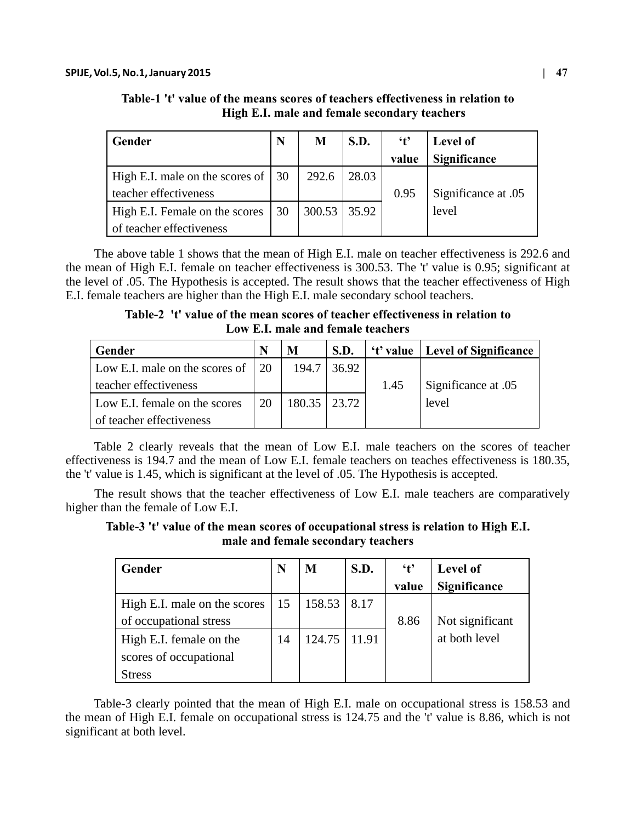| Gender                                             |  | M              | <b>S.D.</b> | $\mathbf{t}$ | Level of            |
|----------------------------------------------------|--|----------------|-------------|--------------|---------------------|
|                                                    |  |                |             | value        | Significance        |
| High E.I. male on the scores of $\vert 30 \rangle$ |  | 292.6          | 28.03       |              |                     |
| teacher effectiveness                              |  |                |             | 0.95         | Significance at .05 |
| 30<br>High E.I. Female on the scores               |  | $300.53$ 35.92 |             |              | level               |
| of teacher effectiveness                           |  |                |             |              |                     |

**Table-1 't' value of the means scores of teachers effectiveness in relation to High E.I. male and female secondary teachers**

The above table 1 shows that the mean of High E.I. male on teacher effectiveness is 292.6 and the mean of High E.I. female on teacher effectiveness is 300.53. The 't' value is 0.95; significant at the level of .05. The Hypothesis is accepted. The result shows that the teacher effectiveness of High E.I. female teachers are higher than the High E.I. male secondary school teachers.

**Table-2 't' value of the mean scores of teacher effectiveness in relation to Low E.I. male and female teachers**

| Gender                            | N | M              | S.D.  |      | 't' value   Level of Significance |
|-----------------------------------|---|----------------|-------|------|-----------------------------------|
| Low E.I. male on the scores of 20 |   | 194.7          | 36.92 |      |                                   |
| teacher effectiveness             |   |                |       | 1.45 | Significance at .05               |
| Low E.I. female on the scores     |   | 180.35   23.72 |       |      | level                             |
| of teacher effectiveness          |   |                |       |      |                                   |

Table 2 clearly reveals that the mean of Low E.I. male teachers on the scores of teacher effectiveness is 194.7 and the mean of Low E.I. female teachers on teaches effectiveness is 180.35, the 't' value is 1.45, which is significant at the level of .05. The Hypothesis is accepted.

The result shows that the teacher effectiveness of Low E.I. male teachers are comparatively higher than the female of Low E.I.

**Table-3 't' value of the mean scores of occupational stress is relation to High E.I. male and female secondary teachers**

| Gender                       | N  | M      | S.D.  | $\mathfrak{t}$ | Level of        |
|------------------------------|----|--------|-------|----------------|-----------------|
|                              |    |        |       | value          | Significance    |
| High E.I. male on the scores | 15 | 158.53 | 8.17  |                |                 |
| of occupational stress       |    |        |       | 8.86           | Not significant |
| High E.I. female on the      |    | 124.75 | 11.91 |                | at both level   |
| scores of occupational       |    |        |       |                |                 |
| Stress                       |    |        |       |                |                 |

Table-3 clearly pointed that the mean of High E.I. male on occupational stress is 158.53 and the mean of High E.I. female on occupational stress is 124.75 and the 't' value is 8.86, which is not significant at both level.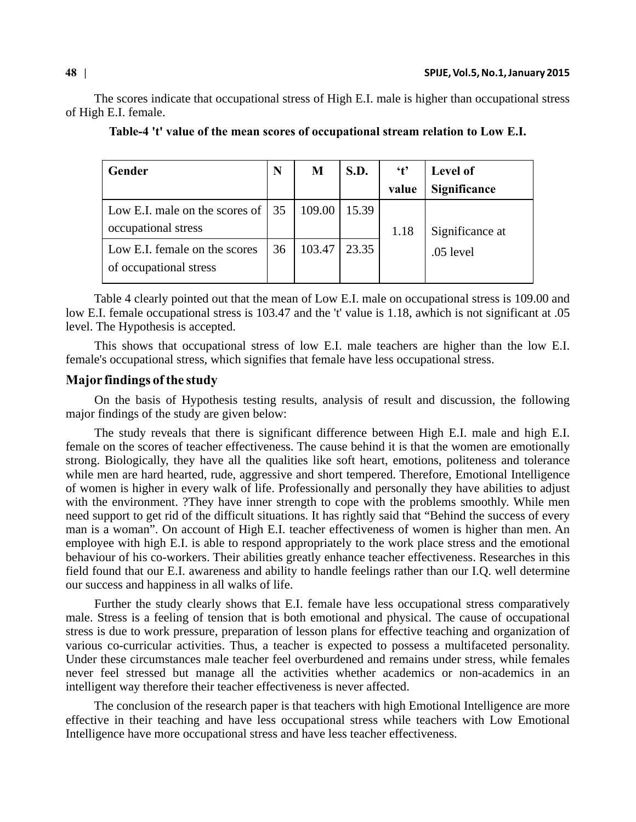The scores indicate that occupational stress of High E.I. male is higher than occupational stress of High E.I. female.

| <b>Gender</b>                                           |    | M      | S.D.  | $\mathbf{t}$ | Level of            |
|---------------------------------------------------------|----|--------|-------|--------------|---------------------|
|                                                         |    |        |       | value        | <b>Significance</b> |
| Low E.I. male on the scores of $\vert$ 35               |    | 109.00 | 15.39 |              |                     |
| occupational stress                                     |    |        |       | 1.18         | Significance at     |
| Low E.I. female on the scores<br>of occupational stress | 36 | 103.47 | 23.35 |              | $.05$ level         |

**Table-4 't' value of the mean scores of occupational stream relation to Low E.I.** 

Table 4 clearly pointed out that the mean of Low E.I. male on occupational stress is 109.00 and low E.I. female occupational stress is 103.47 and the 't' value is 1.18, awhich is not significant at .05 level. The Hypothesis is accepted.

This shows that occupational stress of low E.I. male teachers are higher than the low E.I. female's occupational stress, which signifies that female have less occupational stress.

## **Major findings of the study**

On the basis of Hypothesis testing results, analysis of result and discussion, the following major findings of the study are given below:

The study reveals that there is significant difference between High E.I. male and high E.I. female on the scores of teacher effectiveness. The cause behind it is that the women are emotionally strong. Biologically, they have all the qualities like soft heart, emotions, politeness and tolerance while men are hard hearted, rude, aggressive and short tempered. Therefore, Emotional Intelligence of women is higher in every walk of life. Professionally and personally they have abilities to adjust with the environment. ?They have inner strength to cope with the problems smoothly. While men need support to get rid of the difficult situations. It has rightly said that "Behind the success of every man is a woman". On account of High E.I. teacher effectiveness of women is higher than men. An employee with high E.I. is able to respond appropriately to the work place stress and the emotional behaviour of his co-workers. Their abilities greatly enhance teacher effectiveness. Researches in this field found that our E.I. awareness and ability to handle feelings rather than our I.Q. well determine our success and happiness in all walks of life.

Further the study clearly shows that E.I. female have less occupational stress comparatively male. Stress is a feeling of tension that is both emotional and physical. The cause of occupational stress is due to work pressure, preparation of lesson plans for effective teaching and organization of various co-curricular activities. Thus, a teacher is expected to possess a multifaceted personality. Under these circumstances male teacher feel overburdened and remains under stress, while females never feel stressed but manage all the activities whether academics or non-academics in an intelligent way therefore their teacher effectiveness is never affected.

The conclusion of the research paper is that teachers with high Emotional Intelligence are more effective in their teaching and have less occupational stress while teachers with Low Emotional Intelligence have more occupational stress and have less teacher effectiveness.